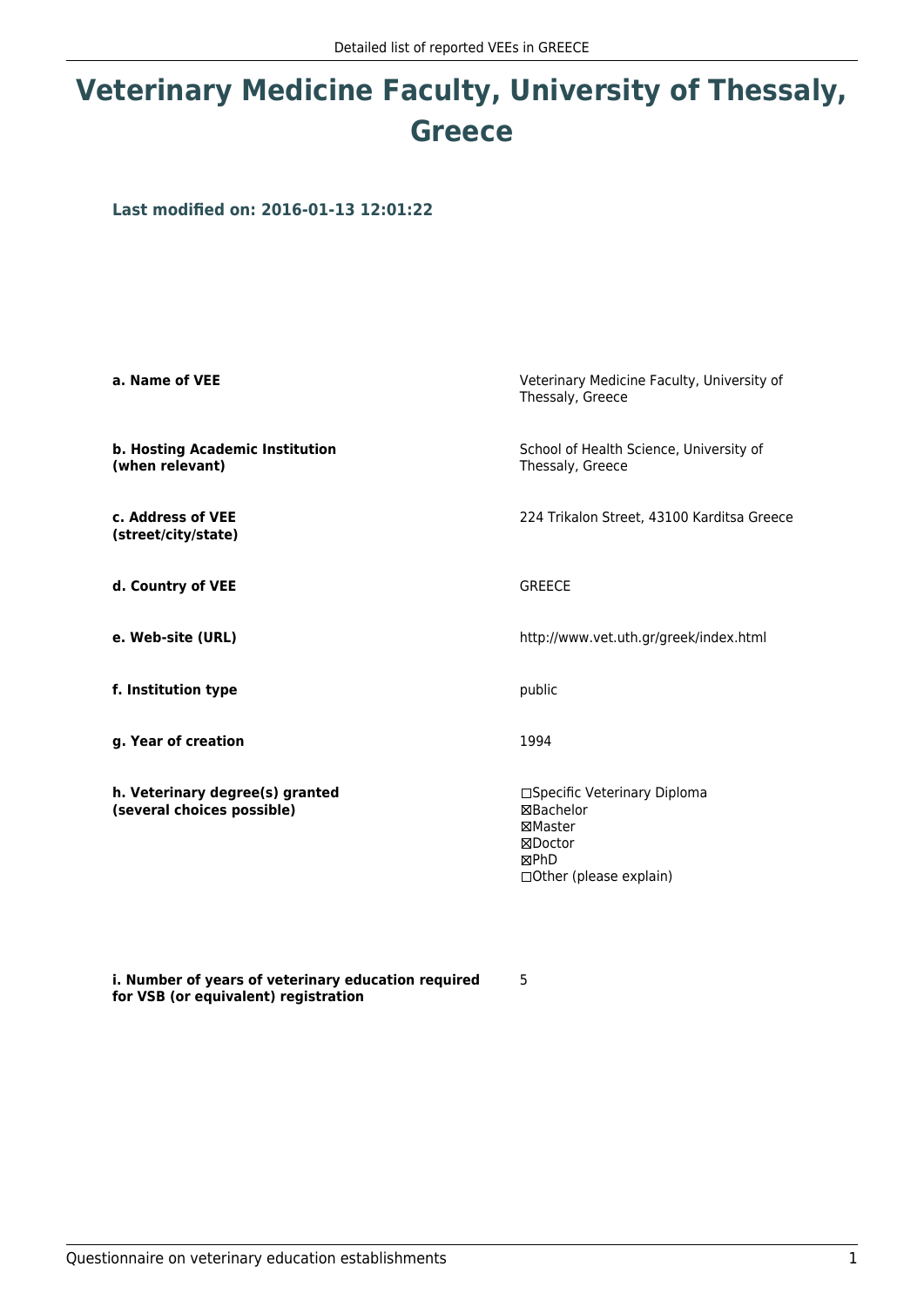## **Veterinary Medicine Faculty, University of Thessaly, Greece**

**Last modified on: 2016-01-13 12:01:22**

| a. Name of VEE                                                | Veterinary Medicine Faculty, University of<br>Thessaly, Greece                                             |  |
|---------------------------------------------------------------|------------------------------------------------------------------------------------------------------------|--|
| b. Hosting Academic Institution<br>(when relevant)            | School of Health Science, University of<br>Thessaly, Greece                                                |  |
| c. Address of VEE<br>(street/city/state)                      | 224 Trikalon Street, 43100 Karditsa Greece                                                                 |  |
| d. Country of VEE                                             | <b>GREECE</b>                                                                                              |  |
| e. Web-site (URL)                                             | http://www.vet.uth.gr/greek/index.html                                                                     |  |
| f. Institution type                                           | public                                                                                                     |  |
| g. Year of creation                                           | 1994                                                                                                       |  |
| h. Veterinary degree(s) granted<br>(several choices possible) | □Specific Veterinary Diploma<br><b>⊠Bachelor</b><br>⊠Master<br>⊠Doctor<br>⊠PhD<br>□ Other (please explain) |  |

**i. Number of years of veterinary education required for VSB (or equivalent) registration**

5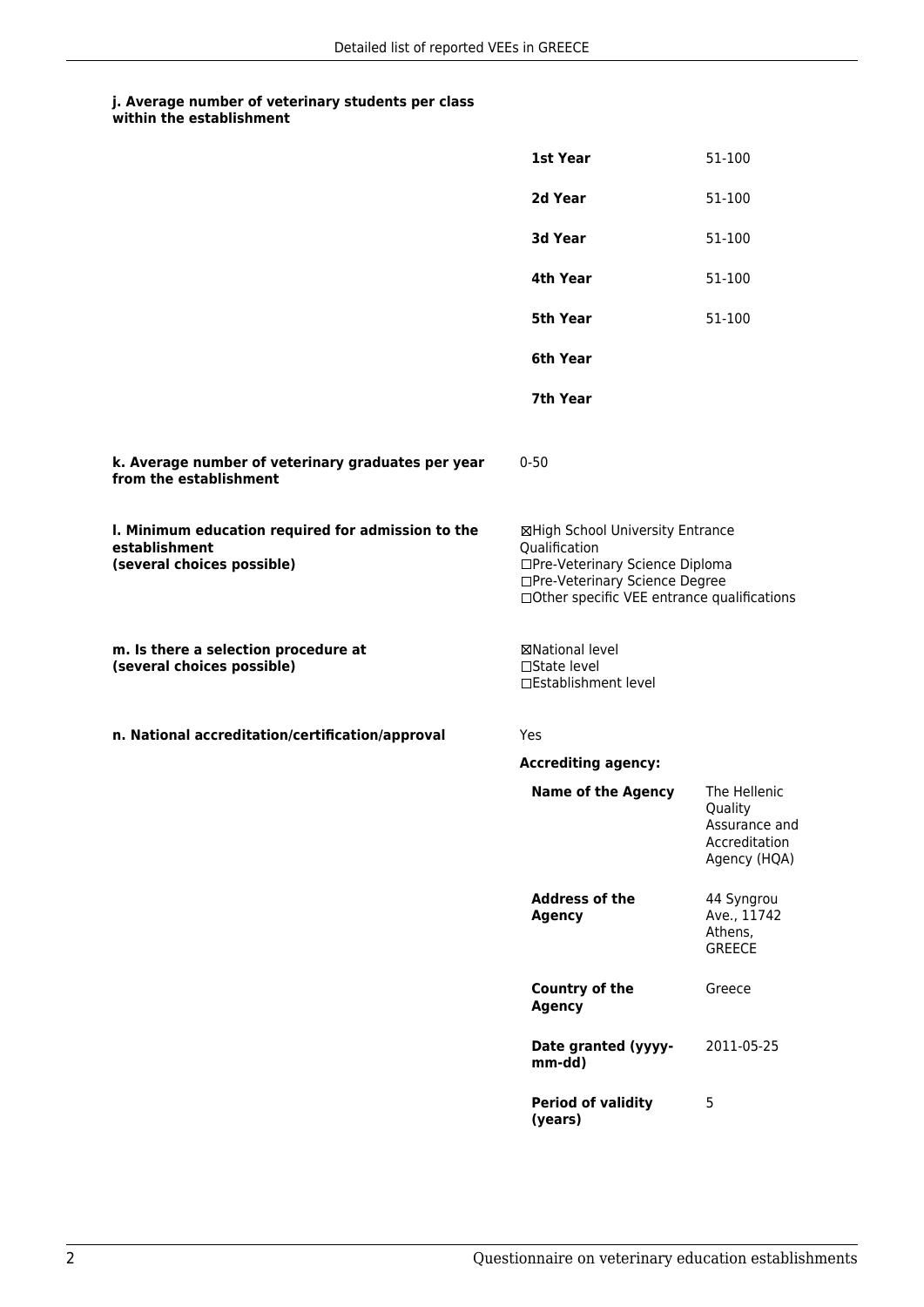## **j. Average number of veterinary students per class within the establishment**

|                                                                                                   | 1st Year                                                                                                                                                              | 51-100                                                                    |
|---------------------------------------------------------------------------------------------------|-----------------------------------------------------------------------------------------------------------------------------------------------------------------------|---------------------------------------------------------------------------|
|                                                                                                   | 2d Year                                                                                                                                                               | 51-100                                                                    |
|                                                                                                   | 3d Year                                                                                                                                                               | 51-100                                                                    |
|                                                                                                   | 4th Year                                                                                                                                                              | 51-100                                                                    |
|                                                                                                   | <b>5th Year</b>                                                                                                                                                       | 51-100                                                                    |
|                                                                                                   | 6th Year                                                                                                                                                              |                                                                           |
|                                                                                                   | 7th Year                                                                                                                                                              |                                                                           |
| k. Average number of veterinary graduates per year<br>from the establishment                      | $0 - 50$                                                                                                                                                              |                                                                           |
| I. Minimum education required for admission to the<br>establishment<br>(several choices possible) | ⊠High School University Entrance<br>Qualification<br>□Pre-Veterinary Science Diploma<br>□Pre-Veterinary Science Degree<br>□Other specific VEE entrance qualifications |                                                                           |
| m. Is there a selection procedure at<br>(several choices possible)                                | ⊠National level<br>□State level<br>□Establishment level                                                                                                               |                                                                           |
| n. National accreditation/certification/approval                                                  | Yes                                                                                                                                                                   |                                                                           |
|                                                                                                   | <b>Accrediting agency:</b>                                                                                                                                            |                                                                           |
|                                                                                                   | <b>Name of the Agency</b>                                                                                                                                             | The Hellenic<br>Quality<br>Assurance and<br>Accreditation<br>Agency (HQA) |
|                                                                                                   | <b>Address of the</b><br><b>Agency</b>                                                                                                                                | 44 Syngrou<br>Ave., 11742<br>Athens,<br><b>GREECE</b>                     |
|                                                                                                   | Country of the<br><b>Agency</b>                                                                                                                                       | Greece                                                                    |
|                                                                                                   | Date granted (yyyy-<br>mm-dd)                                                                                                                                         | 2011-05-25                                                                |
|                                                                                                   | <b>Period of validity</b><br>(years)                                                                                                                                  | 5                                                                         |